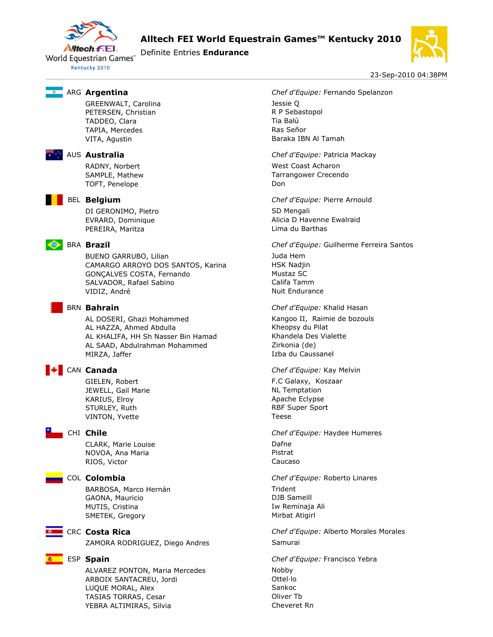

**Alltech FEI World Equestrain Games™ Kentucky 2010** 

Definite Entries **Endurance**



23-Sep-2010 04:38PM

GREENWALT, Carolina Jessie Q PETERSEN, Christian R P Sebastopol TADDEO, Clara Tia Balú TAPIA, Mercedes and a señor research and the Ras Señor VITA, Agustin **Baraka IBN Al Tamah** 



TOFT, Penelope Don



DI GERONIMO, Pietro SD Mengali PEREIRA, Maritza **Lima du Barthas** 

BUENO GARRUBO, Lilian Juda Hem CAMARGO ARROYO DOS SANTOS, Karina HSK Nadjin GONÇALVES COSTA, Fernando Mustaz SC SALVADOR, Rafael Sabino Califa Tamm VIDIZ, André Nuit Endurance

AL DOSERI, Ghazi Mohammed Kangoo II, Raimie de bozouls AL HAZZA, Ahmed Abdulla Kheopsy du Pilat AL KHALIFA, HH Sh Nasser Bin Hamad Khandela Des Vialette AL SAAD, Abdulrahman Mohammed Zirkonia (de) MIRZA, Jaffer **Izba du Caussanel** 

JEWELL, Gail Marie Number 2012 12:00 NL Temptation KARIUS, Elroy **Apache Eclypse** Apache Eclypse STURLEY, Ruth RBF Super Sport VINTON, Yvette Teese

CLARK, Marie Louise Dafne NOVOA, Ana Maria **Pistrat** RIOS, Victor **Caucaso** 

BARBOSA, Marco Hernán Trident GAONA, Mauricio **DJB** Sameill MUTIS, Cristina **Iw Reminaja Ali** SMETEK, Gregory **Mirbat Atigirl** 



ZAMORA RODRIGUEZ, Diego Andres Samurai

ALVAREZ PONTON, Maria Mercedes Mobby ARBOIX SANTACREU, Jordi **Calculation Canadia ARBOIX** SANTACREU, Jordi LUQUE MORAL, Alex Sankoc TASIAS TORRAS, Cesar **Casacase Contract Contract Contract Contract Contract Contract Contract Contract Contract Contract Contract Contract Contract Contract Contract Contract Contract Contract Contract Contract Contract Co** YEBRA ALTIMIRAS, Silvia Cheveret Rn

ARG **Argentina** *Chef d'Equipe:* Fernando Spelanzon

AUS **Australia** *Chef d'Equipe:* Patricia Mackay RADNY, Norbert West Coast Acharon SAMPLE, Mathew Tarrangower Crecendo

BEL **Belgium** *Chef d'Equipe:* Pierre Arnould EVRARD, Dominique **Alicia D Havenne Ewalraid** 

BRA **Brazil** *Chef d'Equipe:* Guilherme Ferreira Santos

BRN **Bahrain** *Chef d'Equipe:* Khalid Hasan

# CAN **Canada** *Chef d'Equipe:* Kay Melvin

GIELEN, Robert **F.C Galaxy, Koszaar** 

CHI **Chile** *Chef d'Equipe:* Haydee Humeres

COL **Colombia** *Chef d'Equipe:* Roberto Linares

CRC **Costa Rica** *Chef d'Equipe:* Alberto Morales Morales

ESP **Spain** *Chef d'Equipe:* Francisco Yebra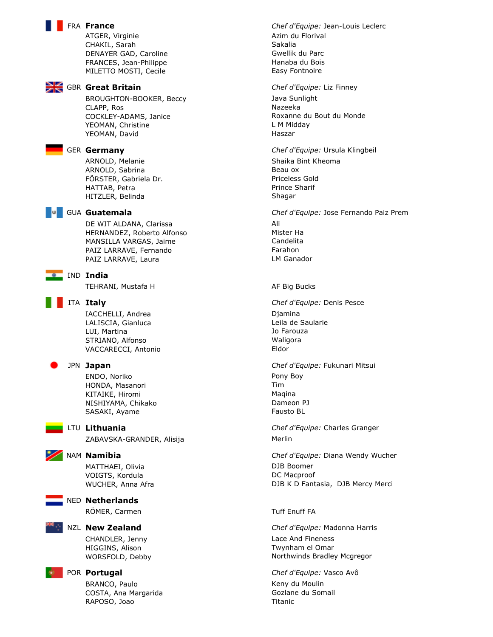ATGER, Virginie **Azim du Florival** CHAKIL, Sarah Sakalia DENAYER GAD, Caroline Gwellik du Parc FRANCES, Jean-Philippe **Hanaba du Bois** Hanaba du Bois MILETTO MOSTI, Cecile **Easy Fontnoire** Easy Fontnoire



BROUGHTON-BOOKER, Beccy Java Sunlight CLAPP, Ros Nazeeka COCKLEY-ADAMS, Janice **Roxanne du Bout du Monde** YEOMAN, Christine Late and Control Metal Control of Late Midday YEOMAN, David **Haszar** Haszar



ARNOLD, Melanie Shaika Bint Kheoma ARNOLD, Sabrina and a structure of the Beau ox FÖRSTER, Gabriela Dr. etter and an annual priceless Gold HATTAB, Petra **Prince Sharif** HITZLER, Belinda Shagar



DE WIT ALDANA, Clarissa **Ali** HERNANDEZ, Roberto Alfonso Mister Ha MANSILLA VARGAS, Jaime Candelita PAIZ LARRAVE, Fernando Farahon PAIZ LARRAVE, Laura LM Ganador



TEHRANI, Mustafa H AF Big Bucks



IACCHELLI, Andrea **Diamina** LALISCIA, Gianluca **LALISCIA**, Gianluca LUI, Martina Jo Farouza STRIANO, Alfonso Waligora VACCARECCI, Antonio Eldor



ENDO, Noriko Pony Boy HONDA, Masanori **Tim** KITAIKE, Hiromi Maqina NISHIYAMA, Chikako **Dameon PJ** SASAKI, Ayame Tausto BL

ZABAVSKA-GRANDER, Alisija Merlin

MATTHAEI, Olivia and a control of the DJB Boomer VOIGTS, Kordula **DC Macproof** 



RÖMER, Carmen Tuff Enuff FA

CHANDLER, Jenny Lace And Fineness HIGGINS, Alison **Twynham el Omar** 

BRANCO, Paulo **Keny du Moulin** COSTA, Ana Margarida **Goziane du Somail** RAPOSO, Joao Xantonio amin'ny fivondronan-kaominin'i Communister de la Titanic

FRA **France** *Chef d'Equipe:* Jean-Louis Leclerc

GBR **Great Britain** *Chef d'Equipe:* Liz Finney

GER **Germany** *Chef d'Equipe:* Ursula Klingbeil

GUA **Guatemala** *Chef d'Equipe:* Jose Fernando Paiz Prem

ITA **Italy** *Chef d'Equipe:* Denis Pesce

JPN **Japan** *Chef d'Equipe:* Fukunari Mitsui

LTU **Lithuania** *Chef d'Equipe:* Charles Granger

NAM **Namibia** *Chef d'Equipe:* Diana Wendy Wucher WUCHER, Anna Afra **DJB K D Fantasia, DJB Mercy Merci** 

NZL **New Zealand** *Chef d'Equipe:* Madonna Harris WORSFOLD, Debby Northwinds Bradley Mcgregor

POR **Portugal** *Chef d'Equipe:* Vasco Avô